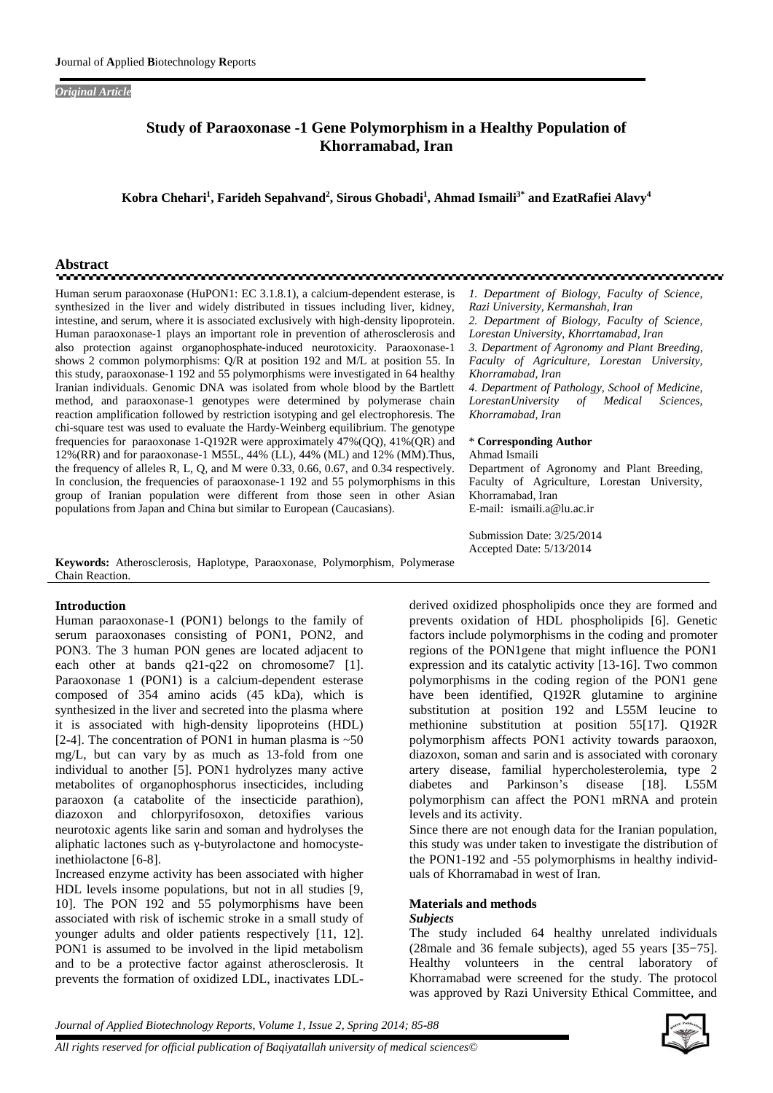### *Original Article*

## **Study of Paraoxonase -1 Gene Polymorphism in a Healthy Population of Khorramabad, Iran**

**Kobra Chehari<sup>1</sup> , Farideh Sepahvand<sup>2</sup> , Sirous Ghobadi<sup>1</sup> , Ahmad Ismaili3\* and EzatRafiei Alavy<sup>4</sup>**

<u>നാനായ സാധാര</u>

# **Abstract**

Human serum paraoxonase (HuPON1: EC 3.1.8.1), a calcium-dependent esterase, is synthesized in the liver and widely distributed in tissues including liver, kidney, intestine, and serum, where it is associated exclusively with high-density lipoprotein. Human paraoxonase-1 plays an important role in prevention of atherosclerosis and also protection against organophosphate-induced neurotoxicity. Paraoxonase-1 shows 2 common polymorphisms: Q/R at position 192 and M/L at position 55. In this study, paraoxonase-1 192 and 55 polymorphisms were investigated in 64 healthy Iranian individuals. Genomic DNA was isolated from whole blood by the Bartlett method, and paraoxonase-1 genotypes were determined by polymerase chain reaction amplification followed by restriction isotyping and gel electrophoresis. The chi-square test was used to evaluate the Hardy-Weinberg equilibrium. The genotype frequencies for paraoxonase 1-Q192R were approximately 47%(QQ), 41%(QR) and 12%(RR) and for paraoxonase-1 M55L, 44% (LL), 44% (ML) and 12% (MM).Thus, the frequency of alleles R, L, Q, and M were 0.33, 0.66, 0.67, and 0.34 respectively. In conclusion, the frequencies of paraoxonase-1 192 and 55 polymorphisms in this group of Iranian population were different from those seen in other Asian populations from Japan and China but similar to European (Caucasians).

**Keywords:** Atherosclerosis, Haplotype, Paraoxonase, Polymorphism, Polymerase Chain Reaction.

#### **Introduction**

Human paraoxonase-1 (PON1) belongs to the family of serum paraoxonases consisting of PON1, PON2, and PON3. The 3 human PON genes are located adjacent to each other at bands q21-q22 on chromosome7 [1]. Paraoxonase 1 (PON1) is a calcium-dependent esterase composed of 354 amino acids (45 kDa), which is synthesized in the liver and secreted into the plasma where it is associated with high-density lipoproteins (HDL) [2-4]. The concentration of PON1 in human plasma is  $~50$ mg/L, but can vary by as much as 13-fold from one individual to another [5]. PON1 hydrolyzes many active metabolites of organophosphorus insecticides, including paraoxon (a catabolite of the insecticide parathion), diazoxon and chlorpyrifosoxon, detoxifies various neurotoxic agents like sarin and soman and hydrolyses the aliphatic lactones such as -butyrolactone and homocysteinethiolactone [6-8].

Increased enzyme activity has been associated with higher HDL levels insome populations, but not in all studies [9, 10]. The PON 192 and 55 polymorphisms have been associated with risk of ischemic stroke in a small study of younger adults and older patients respectively [11, 12]. PON1 is assumed to be involved in the lipid metabolism and to be a protective factor against atherosclerosis. It prevents the formation of oxidized LDL, inactivates LDL-

*LorestanUniversity of Medical Sciences, Khorramabad, Iran* \* **Corresponding Author** Ahmad Ismaili Department of Agronomy and Plant Breeding, Faculty of Agriculture, Lorestan University, Khorramabad, Iran E-mail: ismaili.a@lu.ac.ir Submission Date: 3/25/2014 Accepted Date: 5/13/2014

*1. Department of Biology, Faculty of Science,*

*2. Department of Biology, Faculty of Science, Lorestan University, Khorrtamabad, Iran 3. Department of Agronomy and Plant Breeding, Faculty of Agriculture, Lorestan University,*

*4. Department of Pathology, School of Medicine,*

*Razi University, Kermanshah, Iran*

*Khorramabad, Iran*

derived oxidized phospholipids once they are formed and prevents oxidation of HDL phospholipids [6]. Genetic factors include polymorphisms in the coding and promoter regions of the PON1gene that might influence the PON1 expression and its catalytic activity [13-16]. Two common polymorphisms in the coding region of the PON1 gene have been identified, Q192R glutamine to arginine substitution at position 192 and L55M leucine to methionine substitution at position 55[17]. Q192R polymorphism affects PON1 activity towards paraoxon, diazoxon, soman and sarin and is associated with coronary artery disease, familial hypercholesterolemia, type 2 and Parkinson's disease [18]. L55M polymorphism can affect the PON1 mRNA and protein levels and its activity.

Since there are not enough data for the Iranian population, this study was under taken to investigate the distribution of the PON1-192 and -55 polymorphisms in healthy individuals of Khorramabad in west of Iran.

#### **Materials and methods** *Subjects*

The study included 64 healthy unrelated individuals (28male and 36 female subjects), aged 55 years [35−75]. Healthy volunteers in the central laboratory of Khorramabad were screened for the study. The protocol was approved by Razi University Ethical Committee, and

*Journal of Applied Biotechnology Reports, Volume 1, Issue 2, Spring 2014; 85-88*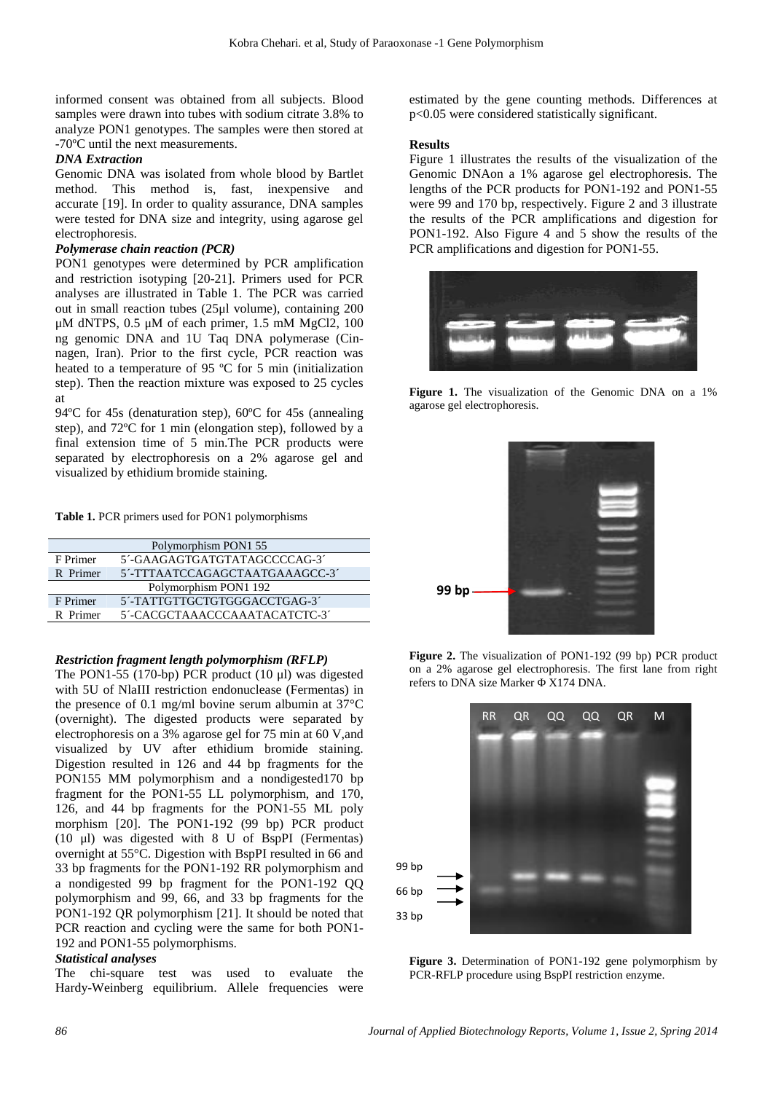informed consent was obtained from all subjects. Blood samples were drawn into tubes with sodium citrate 3.8% to analyze PON1 genotypes. The samples were then stored at -70ºC until the next measurements.

#### *DNA Extraction*

Genomic DNA was isolated from whole blood by Bartlet method. This method is, fast, inexpensive and accurate [19]. In order to quality assurance, DNA samples were tested for DNA size and integrity, using agarose gel electrophoresis.

## *Polymerase chain reaction (PCR)*

PON1 genotypes were determined by PCR amplification and restriction isotyping [20-21]. Primers used for PCR analyses are illustrated in Table 1. The PCR was carried out in small reaction tubes (25μl volume), containing 200 μM dNTPS, 0.5 μM of each primer, 1.5 mM MgCl2, 100 ng genomic DNA and 1U Taq DNA polymerase (Cinnagen, Iran). Prior to the first cycle, PCR reaction was heated to a temperature of 95 ºC for 5 min (initialization step). Then the reaction mixture was exposed to 25 cycles at

94ºC for 45s (denaturation step), 60ºC for 45s (annealing step), and 72ºC for 1 min (elongation step), followed by a final extension time of 5 min.The PCR products were separated by electrophoresis on a 2% agarose gel and visualized by ethidium bromide staining.

**Table 1.** PCR primers used for PON1 polymorphisms

|          | Polymorphism PON1 55           |
|----------|--------------------------------|
| F Primer | 5'-GAAGAGTGATGTATAGCCCCAG-3'   |
| R Primer | 5'-TTTAATCCAGAGCTAATGAAAGCC-3' |
|          | Polymorphism PON1 192          |
| F Primer | 5'-TATTGTTGCTGTGGGACCTGAG-3'   |
| R Primer | 5'-CACGCTAAACCCAAATACATCTC-3'  |

#### *Restriction fragment length polymorphism (RFLP)*

The PON1-55 (170-bp) PCR product (10 μl) was digested with 5U of NlaIII restriction endonuclease (Fermentas) in the presence of 0.1 mg/ml bovine serum albumin at 37°C (overnight). The digested products were separated by electrophoresis on a 3% agarose gel for 75 min at 60 V,and visualized by UV after ethidium bromide staining. Digestion resulted in 126 and 44 bp fragments for the PON155 MM polymorphism and a nondigested170 bp fragment for the PON1-55 LL polymorphism, and 170, 126, and 44 bp fragments for the PON1-55 ML poly morphism [20]. The PON1-192 (99 bp) PCR product (10 μl) was digested with  $8 \text{ U of BspP}$  (Fermentas) overnight at 55°C. Digestion with BspP resulted in 66 and 33 bp fragments for the PON1-192 RR polymorphism and a nondigested 99 bp fragment for the PON1-192 QQ polymorphism and 99, 66, and 33 bp fragments for the PON1-192 QR polymorphism [21]. It should be noted that PCR reaction and cycling were the same for both PON1- 192 and PON1-55 polymorphisms.

#### *Statistical analyses*

The chi-square test was used to evaluate the Hardy-Weinberg equilibrium. Allele frequencies were estimated by the gene counting methods. Differences at p<0.05 were considered statistically significant.

#### **Results**

Figure 1 illustrates the results of the visualization of the Genomic DNAon a 1% agarose gel electrophoresis. The lengths of the PCR products for PON1-192 and PON1-55 were 99 and 170 bp, respectively. Figure 2 and 3 illustrate the results of the PCR amplifications and digestion for PON1-192. Also Figure 4 and 5 show the results of the PCR amplifications and digestion for PON1-55.



**Figure 1.** The visualization of the Genomic DNA on a 1% agarose gel electrophoresis.



**Figure 2.** The visualization of PON1-192 (99 bp) PCR product on a 2% agarose gel electrophoresis. The first lane from right refers to DNA size Marker X174 DNA.



**Figure 3.** Determination of PON1-192 gene polymorphism by PCR-RFLP procedure using BspPI restriction enzyme.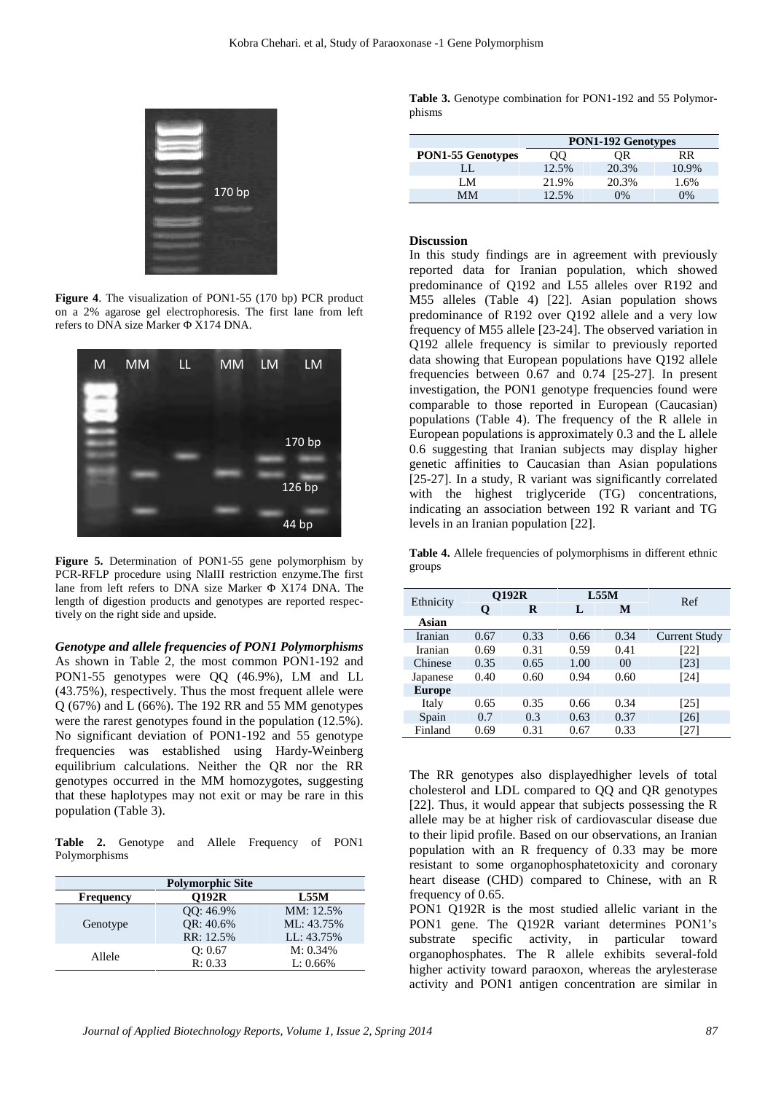

**Figure 4**. The visualization of PON1-55 (170 bp) PCR product on a 2% agarose gel electrophoresis. The first lane from left refers to DNA size Marker X174 DNA.



**Figure 5.** Determination of PON1-55 gene polymorphism by PCR-RFLP procedure using NlaIII restriction enzyme.The first lane from left refers to DNA size Marker X174 DNA. The length of digestion products and genotypes are reported respectively on the right side and upside.

*Genotype and allele frequencies of PON1 Polymorphisms* As shown in Table 2, the most common PON1-192 and PON1-55 genotypes were QQ (46.9%), LM and LL (43.75%), respectively. Thus the most frequent allele were Q (67%) and L (66%). The 192 RR and 55 MM genotypes were the rarest genotypes found in the population  $(12.5\%)$ . No significant deviation of PON1-192 and 55 genotype frequencies was established using Hardy-Weinberg equilibrium calculations. Neither the QR nor the RR genotypes occurred in the MM homozygotes, suggesting that these haplotypes may not exit or may be rare in this population (Table 3).

**Table 2.** Genotype and Allele Frequency of PON1 Polymorphisms

|                  | <b>Polymorphic Site</b> |             |
|------------------|-------------------------|-------------|
| <b>Frequency</b> | <b>O192R</b>            | L55M        |
|                  | QQ: 46.9%               | MM: 12.5%   |
| Genotype         | OR: 40.6%               | ML: 43.75%  |
|                  | RR: 12.5%               | LL: 43.75%  |
|                  | O: 0.67                 | $M: 0.34\%$ |
| Allele           | R: 0.33                 | $L: 0.66\%$ |

**Table 3.** Genotype combination for PON1-192 and 55 Polymor phisms

|                          | <b>PON1-192 Genotypes</b> |       |       |  |  |
|--------------------------|---------------------------|-------|-------|--|--|
| <b>PON1-55 Genotypes</b> | ЭO                        | OR    | RR    |  |  |
|                          | 12.5%                     | 20.3% | 10.9% |  |  |
| LM                       | 21.9%                     | 20.3% | 1.6%  |  |  |
| MМ                       | 12.5%                     | 0%    | $0\%$ |  |  |

#### **Discussion**

In this study findings are in agreement with previously reported data for Iranian population, which showed predominance of Q192 and L55 alleles over R192 and M55 alleles (Table 4) [22]. Asian population shows predominance of R192 over Q192 allele and a very low frequency of M55 allele [23-24]. The observed variation in Q192 allele frequency is similar to previously reported data showing that European populations have Q192 allele frequencies between 0.67 and 0.74 [25-27]. In present investigation, the PON1 genotype frequencies found were comparable to those reported in European (Caucasian) populations (Table 4). The frequency of the R allele in European populations is approximately 0.3 and the L allele 0.6 suggesting that Iranian subjects may display higher genetic affinities to Caucasian than Asian populations [25-27]. In a study, R variant was significantly correlated with the highest triglyceride (TG) concentrations, indicating an association between 192 R variant and TG levels in an Iranian population [22].

**Table 4.** Allele frequencies of polymorphisms in different ethnic groups

| Ethnicity      |      | <b>O192R</b> |      | L55M           | Ref           |
|----------------|------|--------------|------|----------------|---------------|
|                | Q    | R            | L    | M              |               |
| Asian          |      |              |      |                |               |
| <b>Iranian</b> | 0.67 | 0.33         | 0.66 | 0.34           | Current Study |
| Iranian        | 0.69 | 0.31         | 0.59 | 0.41           | [22]          |
| Chinese        | 0.35 | 0.65         | 1.00 | 0 <sup>0</sup> | [23]          |
| Japanese       | 0.40 | 0.60         | 0.94 | 0.60           | [24]          |
| <b>Europe</b>  |      |              |      |                |               |
| Italy          | 0.65 | 0.35         | 0.66 | 0.34           | [25]          |
| Spain          | 0.7  | 0.3          | 0.63 | 0.37           | [26]          |
| Finland        | 0.69 | 0.31         | 0.67 | 0.33           | [27]          |

The RR genotypes also displayedhigher levels of total cholesterol and LDL compared to QQ and QR genotypes [22]. Thus, it would appear that subjects possessing the R allele may be at higher risk of cardiovascular disease due to their lipid profile. Based on our observations, an Iranian population with an R frequency of 0.33 may be more resistant to some organophosphatetoxicity and coronary heart disease (CHD) compared to Chinese, with an R frequency of 0.65.

PON1 Q192R is the most studied allelic variant in the PON1 gene. The Q192R variant determines PON1's substrate specific activity, in particular toward organophosphates. The R allele exhibits several-fold higher activity toward paraoxon, whereas the arylesterase activity and PON1 antigen concentration are similar in